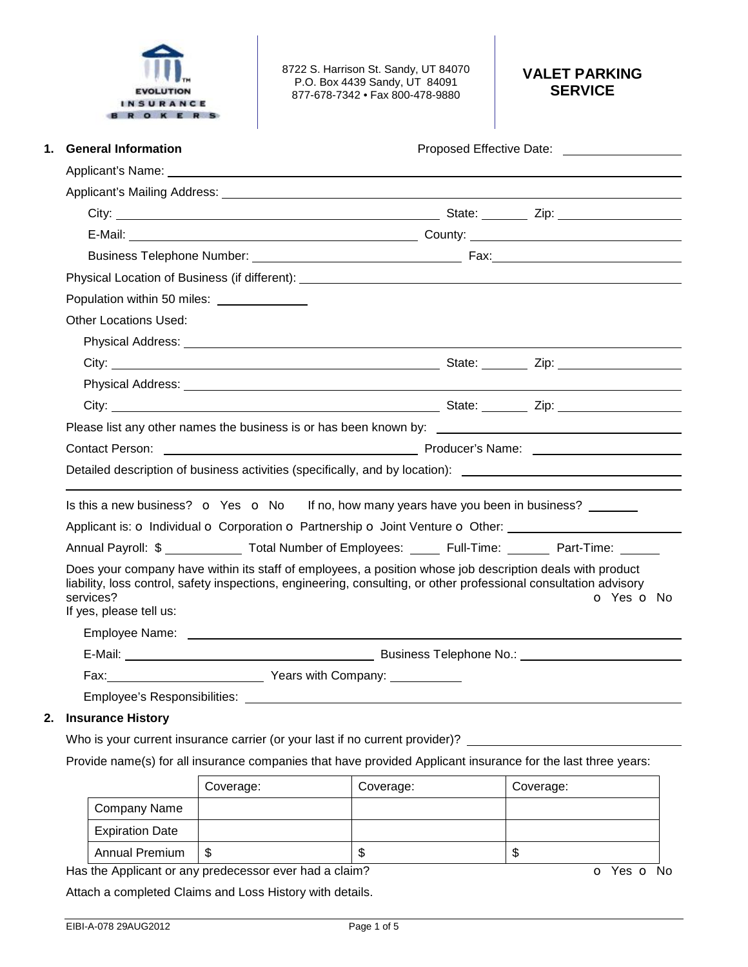

8722 S. Harrison St. Sandy, UT 84070 P.O. Box 4439 Sandy, UT 84091 877-678-7342 • Fax 800-478-9880

# **VALET PARKING SERVICE**

| <b>General Information</b><br>1.                                                                                                                                                                                                                                       |  |  |            |  |  |  |
|------------------------------------------------------------------------------------------------------------------------------------------------------------------------------------------------------------------------------------------------------------------------|--|--|------------|--|--|--|
|                                                                                                                                                                                                                                                                        |  |  |            |  |  |  |
|                                                                                                                                                                                                                                                                        |  |  |            |  |  |  |
|                                                                                                                                                                                                                                                                        |  |  |            |  |  |  |
|                                                                                                                                                                                                                                                                        |  |  |            |  |  |  |
|                                                                                                                                                                                                                                                                        |  |  |            |  |  |  |
|                                                                                                                                                                                                                                                                        |  |  |            |  |  |  |
| Population within 50 miles:                                                                                                                                                                                                                                            |  |  |            |  |  |  |
| <b>Other Locations Used:</b>                                                                                                                                                                                                                                           |  |  |            |  |  |  |
| Physical Address: No. 2020 No. 2020 No. 2020 No. 2020 No. 2020 No. 2020 No. 2020 No. 2020 No. 2020 No. 2020 No                                                                                                                                                         |  |  |            |  |  |  |
|                                                                                                                                                                                                                                                                        |  |  |            |  |  |  |
|                                                                                                                                                                                                                                                                        |  |  |            |  |  |  |
|                                                                                                                                                                                                                                                                        |  |  |            |  |  |  |
|                                                                                                                                                                                                                                                                        |  |  |            |  |  |  |
| Contact Person: <u>Contact Person:</u> Contact Person: Contact Person: Contact Person: Contact Person: Contact Person:                                                                                                                                                 |  |  |            |  |  |  |
| Detailed description of business activities (specifically, and by location): _________________________________                                                                                                                                                         |  |  |            |  |  |  |
|                                                                                                                                                                                                                                                                        |  |  |            |  |  |  |
| Is this a new business? $\bullet$ Yes $\bullet$ No If no, how many years have you been in business?                                                                                                                                                                    |  |  |            |  |  |  |
| Applicant is: O Individual O Corporation O Partnership O Joint Venture O Other:                                                                                                                                                                                        |  |  |            |  |  |  |
| Annual Payroll: \$ ______________ Total Number of Employees: ______ Full-Time: _______ Part-Time: ______                                                                                                                                                               |  |  |            |  |  |  |
| Does your company have within its staff of employees, a position whose job description deals with product<br>liability, loss control, safety inspections, engineering, consulting, or other professional consultation advisory<br>services?<br>If yes, please tell us: |  |  | O Yes O No |  |  |  |
|                                                                                                                                                                                                                                                                        |  |  |            |  |  |  |
|                                                                                                                                                                                                                                                                        |  |  |            |  |  |  |
|                                                                                                                                                                                                                                                                        |  |  |            |  |  |  |
|                                                                                                                                                                                                                                                                        |  |  |            |  |  |  |

### **2. Insurance History**

Who is your current insurance carrier (or your last if no current provider)?

Provide name(s) for all insurance companies that have provided Applicant insurance for the last three years:

|                        | Coverage: | Coverage: | Coverage: |
|------------------------|-----------|-----------|-----------|
| Company Name           |           |           |           |
| <b>Expiration Date</b> |           |           |           |
| <b>Annual Premium</b>  | \$        | ۰D        | S         |

Has the Applicant or any predecessor ever had a claim? **o** Yes **o** No

Attach a completed Claims and Loss History with details.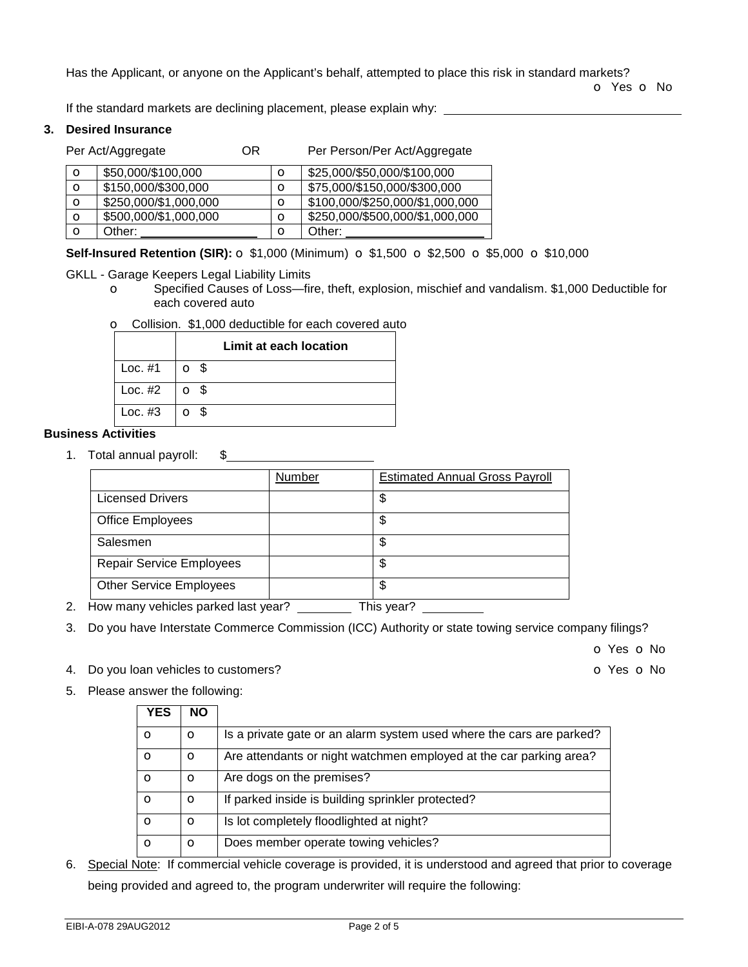Has the Applicant, or anyone on the Applicant's behalf, attempted to place this risk in standard markets?

o Yes o No

If the standard markets are declining placement, please explain why:

#### **3. Desired Insurance**

Per Act/Aggregate **OR** Per Person/Per Act/Aggregate

| $\circ$ | \$50,000/\$100,000    | O | \$25,000/\$50,000/\$100,000     |
|---------|-----------------------|---|---------------------------------|
| $\circ$ | \$150,000/\$300,000   | О | \$75,000/\$150,000/\$300,000    |
| $\circ$ | \$250,000/\$1,000,000 | Ω | \$100,000/\$250,000/\$1,000,000 |
| $\circ$ | \$500,000/\$1,000,000 | O | \$250,000/\$500,000/\$1,000,000 |
| Ω       | Other:                | Ω | Other:                          |

### **Self-Insured Retention (SIR):** o \$1,000 (Minimum) o \$1,500 o \$2,500 o \$5,000 o \$10,000

GKLL - Garage Keepers Legal Liability Limits

o Specified Causes of Loss—fire, theft, explosion, mischief and vandalism. \$1,000 Deductible for each covered auto

|  |  |  |  |  | O Collision. \$1,000 deductible for each covered auto |
|--|--|--|--|--|-------------------------------------------------------|
|--|--|--|--|--|-------------------------------------------------------|

|           | Limit at each location |
|-----------|------------------------|
| Loc. #1   | $\circ$ $\circ$        |
| Loc. $#2$ | o s                    |
| Loc. $#3$ | $\circ$ $\circ$        |

# **Business Activities**

1. Total annual payroll: \$

| Number | <b>Estimated Annual Gross Payroll</b> |
|--------|---------------------------------------|
|        | \$                                    |
|        | \$                                    |
|        | \$                                    |
|        | \$                                    |
|        | \$                                    |
|        |                                       |

- 2. How many vehicles parked last year? This year?
- 3. Do you have Interstate Commerce Commission (ICC) Authority or state towing service company filings?

o Yes o No

4. Do you loan vehicles to customers? Case of Case of Case of Case of Case of Case of Vesico No. 2014

5. Please answer the following:

| YES     | <b>NO</b> |                                                                      |
|---------|-----------|----------------------------------------------------------------------|
| $\circ$ | Ω         | Is a private gate or an alarm system used where the cars are parked? |
| $\circ$ | $\circ$   | Are attendants or night watchmen employed at the car parking area?   |
| $\circ$ | $\circ$   | Are dogs on the premises?                                            |
| $\circ$ | $\Omega$  | If parked inside is building sprinkler protected?                    |
| $\circ$ | $\circ$   | Is lot completely floodlighted at night?                             |
| $\circ$ | O         | Does member operate towing vehicles?                                 |

6. Special Note: If commercial vehicle coverage is provided, it is understood and agreed that prior to coverage being provided and agreed to, the program underwriter will require the following: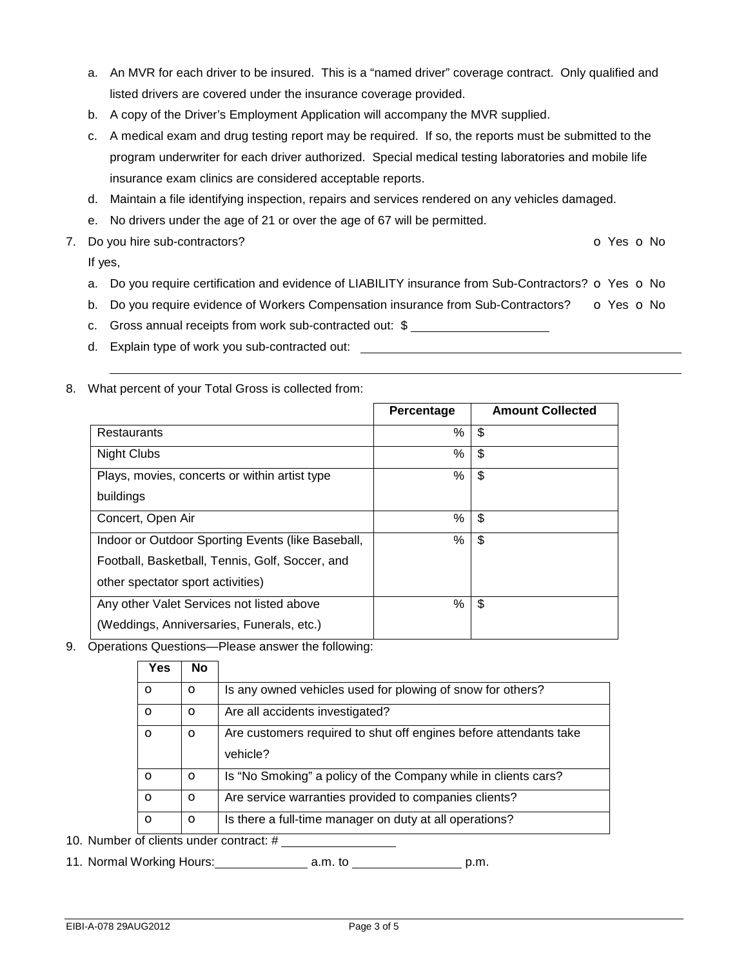- a. An MVR for each driver to be insured. This is a "named driver" coverage contract. Only qualified and listed drivers are covered under the insurance coverage provided.
- b. A copy of the Driver's Employment Application will accompany the MVR supplied.
- c. A medical exam and drug testing report may be required. If so, the reports must be submitted to the program underwriter for each driver authorized. Special medical testing laboratories and mobile life insurance exam clinics are considered acceptable reports.
- d. Maintain a file identifying inspection, repairs and services rendered on any vehicles damaged.
- e. No drivers under the age of 21 or over the age of 67 will be permitted.
- 7. Do you hire sub-contractors? COVERS ON CONSERVERS ON CONSERVERS ON CONSERVERS ON CONSERVERS ON CONSERVERS ON CONSERVERS ON CONSERVERS ON CONSERVERS ON CONSERVERS ON CONSERVERS ON CONSERVERS ON CONSERVERS ON CONSERVERS O

If yes,

- a. Do you require certification and evidence of LIABILITY insurance from Sub-Contractors?  $\circ$  Yes  $\circ$  No
- b. Do you require evidence of Workers Compensation insurance from Sub-Contractors? o Yes o No
- c. Gross annual receipts from work sub-contracted out: \$
- d. Explain type of work you sub-contracted out:
- 8. What percent of your Total Gross is collected from:

|                                                   | Percentage | <b>Amount Collected</b> |
|---------------------------------------------------|------------|-------------------------|
| Restaurants                                       | %          | \$                      |
| <b>Night Clubs</b>                                | %          | \$                      |
| Plays, movies, concerts or within artist type     | %          | \$                      |
| buildings                                         |            |                         |
| Concert, Open Air                                 | %          | \$                      |
| Indoor or Outdoor Sporting Events (like Baseball, | %          | \$                      |
| Football, Basketball, Tennis, Golf, Soccer, and   |            |                         |
| other spectator sport activities)                 |            |                         |
| Any other Valet Services not listed above         | %          | \$                      |
| (Weddings, Anniversaries, Funerals, etc.)         |            |                         |

9. Operations Questions—Please answer the following:

| Yes          | <b>No</b> |                                                                               |
|--------------|-----------|-------------------------------------------------------------------------------|
| $\Omega$     | $\circ$   | Is any owned vehicles used for plowing of snow for others?                    |
| $\mathbf{o}$ | $\circ$   | Are all accidents investigated?                                               |
| $\Omega$     | $\circ$   | Are customers required to shut off engines before attendants take<br>vehicle? |
| $\circ$      | $\circ$   | Is "No Smoking" a policy of the Company while in clients cars?                |
| $\Omega$     | $\circ$   | Are service warranties provided to companies clients?                         |
| $\circ$      | $\circ$   | Is there a full-time manager on duty at all operations?                       |

10. Number of clients under contract: #

11. Normal Working Hours: a.m. to p.m.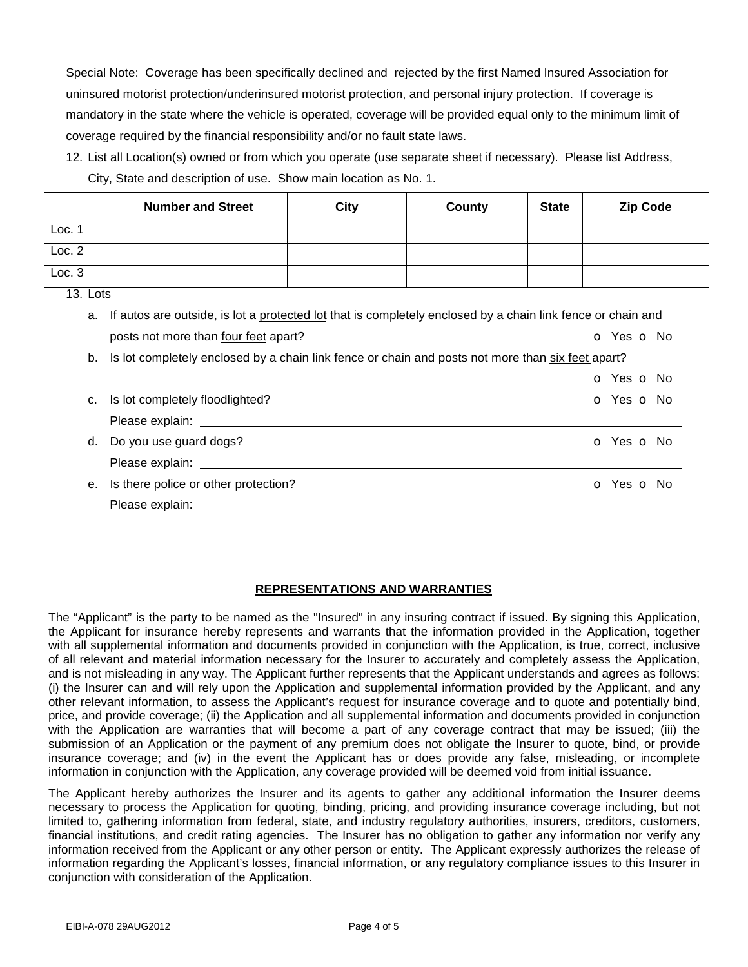Special Note: Coverage has been specifically declined and rejected by the first Named Insured Association for uninsured motorist protection/underinsured motorist protection, and personal injury protection. If coverage is mandatory in the state where the vehicle is operated, coverage will be provided equal only to the minimum limit of coverage required by the financial responsibility and/or no fault state laws.

12. List all Location(s) owned or from which you operate (use separate sheet if necessary). Please list Address, City, State and description of use. Show main location as No. 1.

|          | <b>Number and Street</b>                                                                                       | City | County | <b>State</b> | <b>Zip Code</b> |
|----------|----------------------------------------------------------------------------------------------------------------|------|--------|--------------|-----------------|
| Loc. 1   |                                                                                                                |      |        |              |                 |
| Loc. 2   |                                                                                                                |      |        |              |                 |
| Loc.3    |                                                                                                                |      |        |              |                 |
| 13. Lots |                                                                                                                |      |        |              |                 |
|          | a. If autos are outside, is lot a protected lot that is completely enclosed by a chain link fence or chain and |      |        |              |                 |
|          | posts not more than four feet apart?                                                                           |      |        |              | O Yes O No      |
| b.       | Is lot completely enclosed by a chain link fence or chain and posts not more than six feet apart?              |      |        |              |                 |
|          |                                                                                                                |      |        |              | O Yes O No      |

| c. Is lot completely floodlighted?                                                                                                                                                                                             | o Yes o No               |
|--------------------------------------------------------------------------------------------------------------------------------------------------------------------------------------------------------------------------------|--------------------------|
| Please explain: The contract of the contract of the contract of the contract of the contract of the contract of the contract of the contract of the contract of the contract of the contract of the contract of the contract o |                          |
| d. Do you use guard dogs?                                                                                                                                                                                                      | <b>O</b> Yes <b>O</b> No |
| Please explain:                                                                                                                                                                                                                |                          |
| e. Is there police or other protection?                                                                                                                                                                                        | <b>o</b> Yes <b>o</b> No |
| Please explain:                                                                                                                                                                                                                |                          |

# **REPRESENTATIONS AND WARRANTIES**

The "Applicant" is the party to be named as the "Insured" in any insuring contract if issued. By signing this Application, the Applicant for insurance hereby represents and warrants that the information provided in the Application, together with all supplemental information and documents provided in conjunction with the Application, is true, correct, inclusive of all relevant and material information necessary for the Insurer to accurately and completely assess the Application, and is not misleading in any way. The Applicant further represents that the Applicant understands and agrees as follows: (i) the Insurer can and will rely upon the Application and supplemental information provided by the Applicant, and any other relevant information, to assess the Applicant's request for insurance coverage and to quote and potentially bind, price, and provide coverage; (ii) the Application and all supplemental information and documents provided in conjunction with the Application are warranties that will become a part of any coverage contract that may be issued; (iii) the submission of an Application or the payment of any premium does not obligate the Insurer to quote, bind, or provide insurance coverage; and (iv) in the event the Applicant has or does provide any false, misleading, or incomplete information in conjunction with the Application, any coverage provided will be deemed void from initial issuance.

The Applicant hereby authorizes the Insurer and its agents to gather any additional information the Insurer deems necessary to process the Application for quoting, binding, pricing, and providing insurance coverage including, but not limited to, gathering information from federal, state, and industry regulatory authorities, insurers, creditors, customers, financial institutions, and credit rating agencies. The Insurer has no obligation to gather any information nor verify any information received from the Applicant or any other person or entity. The Applicant expressly authorizes the release of information regarding the Applicant's losses, financial information, or any regulatory compliance issues to this Insurer in conjunction with consideration of the Application.